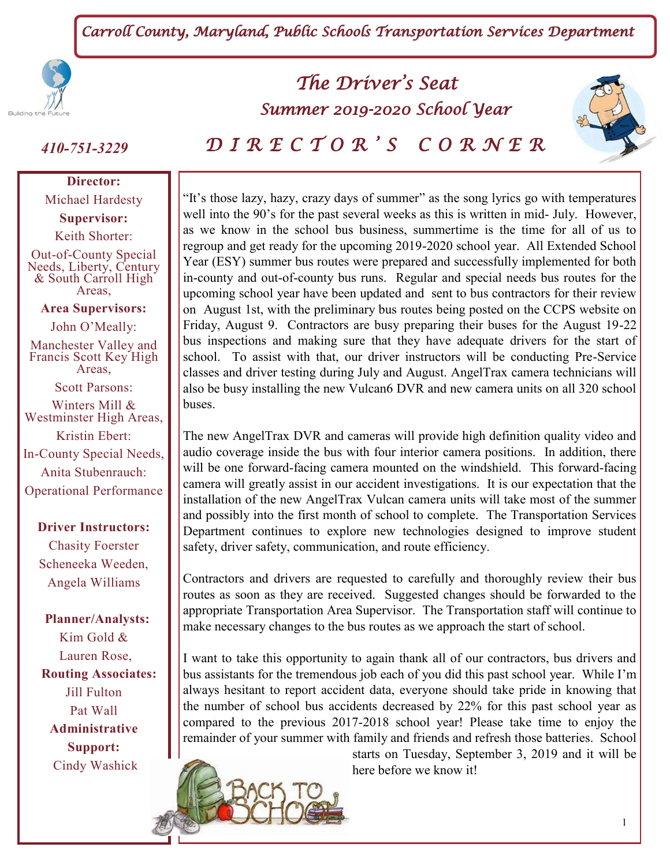*Carroll County, Maryland, Public Schools Transportation Services Department* 



**Director:** Michael Hardesty

**Supervisor:** Keith Shorter:

Out-of-County Special Needs, Liberty, Century & South Carroll High Areas,

#### **Area Supervisors:**

John O'Meally: Manchester Valley and Francis Scott Key High Areas,

Scott Parsons:

Winters Mill & Westminster High Areas, Kristin Ebert: In-County Special Needs, Anita Stubenrauch: Operational Performance

**Driver Instructors:**  Chasity Foerster Scheneeka Weeden, Angela Williams

 **Planner/Analysts:** Kim Gold & Lauren Rose,  **Routing Associates:** Jill Fulton Pat Wall **Administrative Support:** Cindy Washick

# *The Driver's Seat Summer 2019-2020 School Year*



*410-751-3229 D I R E C T O R ' S C O R N E R* 

"It's those lazy, hazy, crazy days of summer" as the song lyrics go with temperatures well into the 90's for the past several weeks as this is written in mid- July. However, as we know in the school bus business, summertime is the time for all of us to regroup and get ready for the upcoming 2019-2020 school year. All Extended School Year (ESY) summer bus routes were prepared and successfully implemented for both in-county and out-of-county bus runs. Regular and special needs bus routes for the upcoming school year have been updated and sent to bus contractors for their review on August 1st, with the preliminary bus routes being posted on the CCPS website on Friday, August 9. Contractors are busy preparing their buses for the August 19-22 bus inspections and making sure that they have adequate drivers for the start of school. To assist with that, our driver instructors will be conducting Pre-Service classes and driver testing during July and August. AngelTrax camera technicians will also be busy installing the new Vulcan6 DVR and new camera units on all 320 school buses.

The new AngelTrax DVR and cameras will provide high definition quality video and audio coverage inside the bus with four interior camera positions. In addition, there will be one forward-facing camera mounted on the windshield. This forward-facing camera will greatly assist in our accident investigations. It is our expectation that the installation of the new AngelTrax Vulcan camera units will take most of the summer and possibly into the first month of school to complete. The Transportation Services Department continues to explore new technologies designed to improve student safety, driver safety, communication, and route efficiency.

Contractors and drivers are requested to carefully and thoroughly review their bus routes as soon as they are received. Suggested changes should be forwarded to the appropriate Transportation Area Supervisor. The Transportation staff will continue to make necessary changes to the bus routes as we approach the start of school.

I want to take this opportunity to again thank all of our contractors, bus drivers and bus assistants for the tremendous job each of you did this past school year. While I'm always hesitant to report accident data, everyone should take pride in knowing that the number of school bus accidents decreased by 22% for this past school year as compared to the previous 2017-2018 school year! Please take time to enjoy the remainder of your summer with family and friends and refresh those batteries. School



starts on Tuesday, September 3, 2019 and it will be here before we know it!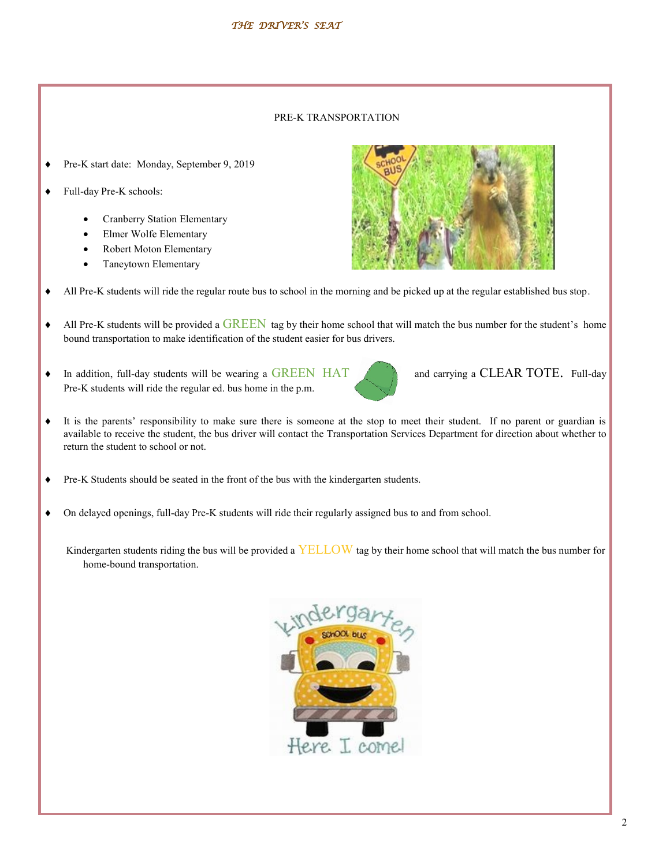#### PRE-K TRANSPORTATION

- Pre-K start date: Monday, September 9, 2019
- Full-day Pre-K schools:
	- Cranberry Station Elementary
	- Elmer Wolfe Elementary
	- Robert Moton Elementary
	- Taneytown Elementary



- All Pre-K students will ride the regular route bus to school in the morning and be picked up at the regular established bus stop.
- All Pre-K students will be provided a GREEN tag by their home school that will match the bus number for the student's home bound transportation to make identification of the student easier for bus drivers.
- In addition, full-day students will be wearing a GREEN HAT and carrying a CLEAR TOTE. Full-day Pre-K students will ride the regular ed. bus home in the p.m.



- It is the parents' responsibility to make sure there is someone at the stop to meet their student. If no parent or guardian is available to receive the student, the bus driver will contact the Transportation Services Department for direction about whether to return the student to school or not.
- Pre-K Students should be seated in the front of the bus with the kindergarten students.
- On delayed openings, full-day Pre-K students will ride their regularly assigned bus to and from school.

Kindergarten students riding the bus will be provided a  $YELLOW$  tag by their home school that will match the bus number for home-bound transportation.

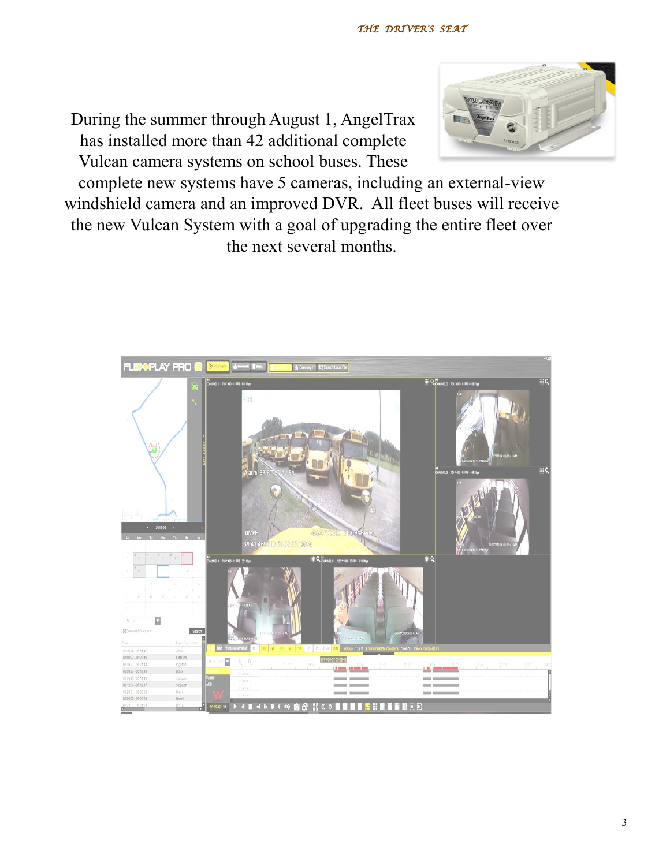



complete new systems have 5 cameras, including an external-view windshield camera and an improved DVR. All fleet buses will receive the new Vulcan System with a goal of upgrading the entire fleet over the next several months.

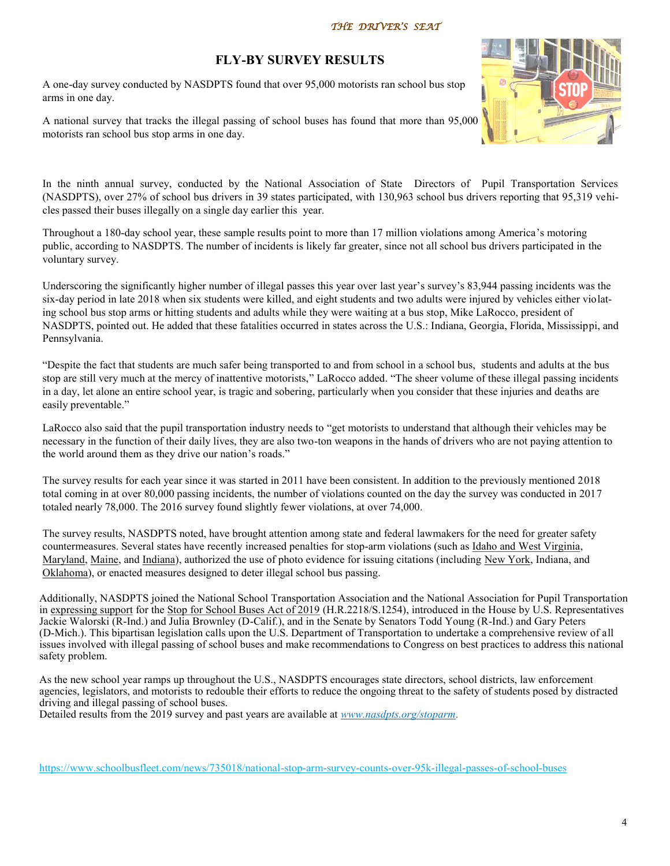#### *THE DRIVER'S SEAT*

### **FLY-BY SURVEY RESULTS**

A one-day survey conducted by NASDPTS found that over 95,000 motorists ran school bus stop arms in one day.

A national survey that tracks the illegal passing of school buses has found that more than 95,000 motorists ran school bus stop arms in one day.



In the ninth annual survey, conducted by the National Association of State Directors of Pupil Transportation Services (NASDPTS), over 27% of school bus drivers in 39 states participated, with 130,963 school bus drivers reporting that 95,319 vehicles passed their buses illegally on a single day earlier this year.

Throughout a 180-day school year, these sample results point to more than 17 million violations among America's motoring public, according to NASDPTS. The number of incidents is likely far greater, since not all school bus drivers participated in the voluntary survey.

Underscoring the significantly higher number of illegal passes this year over last year's survey'[s 83,944 passing incidents](https://www.schoolbusfleet.com/news/730974/national-stop-arm-survey-counts-over-80k-illegal-passes-of-school-buses) was the six-day period in late 2018 when six students were killed, and eight students and two adults were injured by vehicles either violating school bus stop arms or hitting students and adults while they were waiting at a bus stop, Mike LaRocco, president of NASDPTS, pointed out. He added that these fatalities occurred in states across the U.S.: Indiana, Georgia, Florida, Mississippi, and Pennsylvania.

"Despite the fact that students are much safer being transported to and from school in a school bus, students and adults at the bus stop are still very much at the mercy of inattentive motorists," LaRocco added. "The sheer volume of these illegal passing incidents in a day, let alone an entire school year, is tragic and sobering, particularly when you consider that these injuries and deaths are easily preventable."

LaRocco also said that the pupil transportation industry needs to "get motorists to understand that although their vehicles may be necessary in the function of their daily lives, they are also two-ton weapons in the hands of drivers who are not paying attention to the world around them as they drive our nation's roads."

The survey results for each year since it was started in 2011 have been consistent. In addition to the previously mentioned 2018 total coming in at over 80,000 passing incidents, the number of violations counted on the day the survey was conducted in 2017 [totaled nearly 78,000.](https://www.schoolbusfleet.com/news/724682/national-stop-arm-survey-counts-78k-illegal-passes-of-school-buses) The 2016 survey found slightly fewer violations, at [over 74,000.](https://www.schoolbusfleet.com/news/714512/national-stop-arm-survey-counts-over-74k-violations)

The survey results, NASDPTS noted, have brought attention among state and federal lawmakers for the need for greater safety countermeasures. Several states have recently [increased penalties](https://www.schoolbusfleet.com/news/733725/idaho-west-virginia-increase-fines-for-school-bus-passing) for stop-arm violations (such as Idaho and West Virginia, [Maryland,](https://www.schoolbusfleet.com/news/734895/maryland-county-approves-use-of-school-bus-stop-arm-cameras) [Maine,](https://www.schoolbusfleet.com/news/734582/new-maine-law-allows-stop-arm-cameras-on-school-buses) and [Indiana\),](https://www.schoolbusfleet.com/news/734051/indiana-governor-signs-school-bus-safety-bill-into-law) authorized the use of photo evidence for issuing citations (including [New York,](https://www.schoolbusfleet.com/news/734615/n-y-bill-would-allow-stop-arm-cameras-on-school-buses) Indiana, and [Oklahoma\),](https://www.schoolbusfleet.com/news/733952/oklahoma-governor-signs-bill-allowing-stop-arm-cameras-into-law) or enacted measures designed to deter illegal school bus passing.

Additionally, NASDPTS joined the National School Transportation Association and the National Association for Pupil Transportation in [expressing support](https://www.schoolbusfleet.com/news/734812/pupil-transportation-associations-unite-to-support-school-bus-safety-act) for the [Stop for School Buses Act of 2019](https://www.congress.gov/bill/116th-congress/house-bill/2218/text?q=%7B%22search%22%3A%5B%22H.R.+2218%22%5D%7D&r=1&s=3) (H.R.2218/S.1254), introduced in the House by U.S. Representatives Jackie Walorski (R-Ind.) and Julia Brownley (D-Calif.), and in the Senate by Senators Todd Young (R-Ind.) and Gary Peters (D-Mich.). This bipartisan legislation calls upon the U.S. Department of Transportation to undertake a comprehensive review of all issues involved with illegal passing of school buses and make recommendations to Congress on best practices to address this national safety problem.

As the new school year ramps up throughout the U.S., NASDPTS encourages state directors, school districts, law enforcement agencies, legislators, and motorists to redouble their efforts to reduce the ongoing threat to the safety of students posed by distracted driving and illegal passing of school buses.

Detailed results from the 2019 survey and past years are available at *[www.nasdpts.org/stoparm](http://www.nasdpts.org/stoparm/)*.

[https://www.schoolbusfleet.com/news/735018/national](https://nam04.safelinks.protection.outlook.com/?url=https%3A%2F%2Fwww.schoolbusfleet.com%2Fnews%2F735018%2Fnational-stop-arm-survey-counts-over-95k-illegal-passes-of-school-buses&data=02%7C01%7Ccawashi%40carrollk12.org%7Ce8231de458f9467435a908d71130031a%7C712)-stop-arm-survey-counts-over-95k-illegal-passes-of-school-buses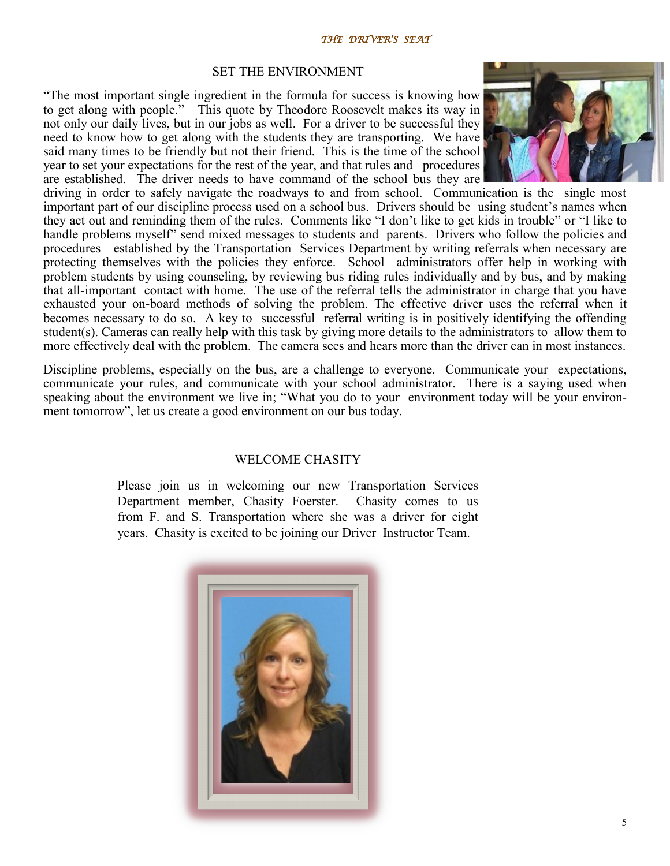#### SET THE ENVIRONMENT

"The most important single ingredient in the formula for success is knowing how to get along with people." This quote by Theodore Roosevelt makes its way in not only our daily lives, but in our jobs as well. For a driver to be successful they need to know how to get along with the students they are transporting. We have said many times to be friendly but not their friend. This is the time of the school year to set your expectations for the rest of the year, and that rules and procedures are established. The driver needs to have command of the school bus they are



driving in order to safely navigate the roadways to and from school. Communication is the single most important part of our discipline process used on a school bus. Drivers should be using student's names when they act out and reminding them of the rules. Comments like "I don't like to get kids in trouble" or "I like to handle problems myself" send mixed messages to students and parents. Drivers who follow the policies and procedures established by the Transportation Services Department by writing referrals when necessary are protecting themselves with the policies they enforce. School administrators offer help in working with problem students by using counseling, by reviewing bus riding rules individually and by bus, and by making that all-important contact with home. The use of the referral tells the administrator in charge that you have exhausted your on-board methods of solving the problem. The effective driver uses the referral when it becomes necessary to do so. A key to successful referral writing is in positively identifying the offending student(s). Cameras can really help with this task by giving more details to the administrators to allow them to more effectively deal with the problem. The camera sees and hears more than the driver can in most instances.

Discipline problems, especially on the bus, are a challenge to everyone. Communicate your expectations, communicate your rules, and communicate with your school administrator. There is a saying used when speaking about the environment we live in; "What you do to your environment today will be your environment tomorrow", let us create a good environment on our bus today.

#### WELCOME CHASITY

Please join us in welcoming our new Transportation Services Department member, Chasity Foerster. Chasity comes to us from F. and S. Transportation where she was a driver for eight years. Chasity is excited to be joining our Driver Instructor Team.

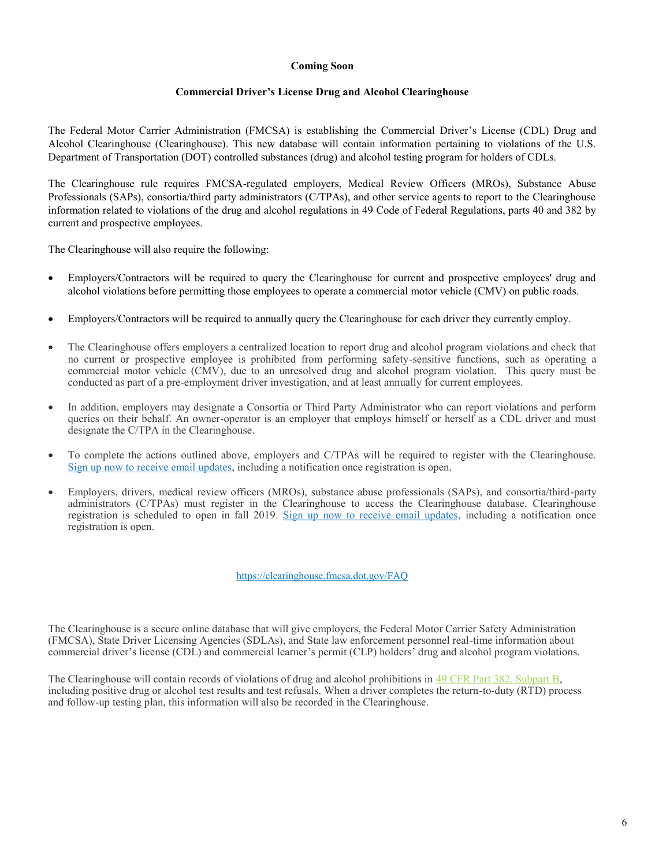#### **Coming Soon**

#### **Commercial Driver's License Drug and Alcohol Clearinghouse**

The Federal Motor Carrier Administration (FMCSA) is establishing the Commercial Driver's License (CDL) Drug and Alcohol Clearinghouse (Clearinghouse). This new database will contain information pertaining to violations of the U.S. Department of Transportation (DOT) controlled substances (drug) and alcohol testing program for holders of CDLs.

The Clearinghouse rule requires FMCSA-regulated employers, Medical Review Officers (MROs), Substance Abuse Professionals (SAPs), consortia/third party administrators (C/TPAs), and other service agents to report to the Clearinghouse information related to violations of the drug and alcohol regulations in 49 Code of Federal Regulations, parts 40 and 382 by current and prospective employees.

The Clearinghouse will also require the following:

- Employers/Contractors will be required to query the Clearinghouse for current and prospective employees' drug and alcohol violations before permitting those employees to operate a commercial motor vehicle (CMV) on public roads.
- Employe[r](https://clearinghouse.fmcsa.dot.gov/FAQ/FAQLearnMore)s/Contractors will be required to annually query the Clearinghouse for each driver they currently employ.
- The Clearinghouse offers employers a centralized location to report drug and alcohol program violations and check that no current or prospective employee is prohibited from performing safety-sensitive functions, such as operating a commercial motor vehicle (CMV), due to an unresolved drug and alcohol program violation. This query must be conducted as part of a pre-employment driver investigation, and at least annually for current employees.
- In addition, employers may designate a Consortia or Third Party Administrator who can report violations and perform queries on their behalf. An owner-operator is an employer that employs himself or herself as a CDL driver and must designate the C/TPA in the Clearinghouse.
- To complete the actions outlined above, employers and C/TPAs will be required to register with the Clearinghouse. [Sign up now to receive email updates,](https://clearinghouse.fmcsa.dot.gov/Home/Subscribe) including a notification once registration is open.
- Employers, drivers, medical review officers (MROs), substance abuse professionals (SAPs), and consortia/third-party administrators (C/TPAs) must register in the Clearinghouse to access the Clearinghouse database. Clearinghouse registration is scheduled to open in fall 2019. [Sign up now to receive email updates,](https://clearinghouse.fmcsa.dot.gov/Home/Subscribe) including a notification once registration is open.

<https://clearinghouse.fmcsa.dot.gov/FAQ>

The Clearinghouse is a secure online database that will give employers, the Federal Motor Carrier Safety Administration (FMCSA), State Driver Licensing Agencies (SDLAs), and State law enforcement personnel real-time information about commercial driver's license (CDL) and commercial learner's permit (CLP) holders' drug and alcohol program violations.

The Clearinghouse will contain records of violations of drug and alcohol prohibitions in [49 CFR Part 382, Subpart B,](https://www.ecfr.gov/cgi-bin/retrieveECFR?gp=1&ty=HTML&h=L&mc=true&=PART&n=pt49.5.382#sp49.5.382.b/) including positive drug or alcohol test results and test refusals. When a driver completes the return-to-duty (RTD) process and follow-up testing plan, this information will also be recorded in the Clearinghouse.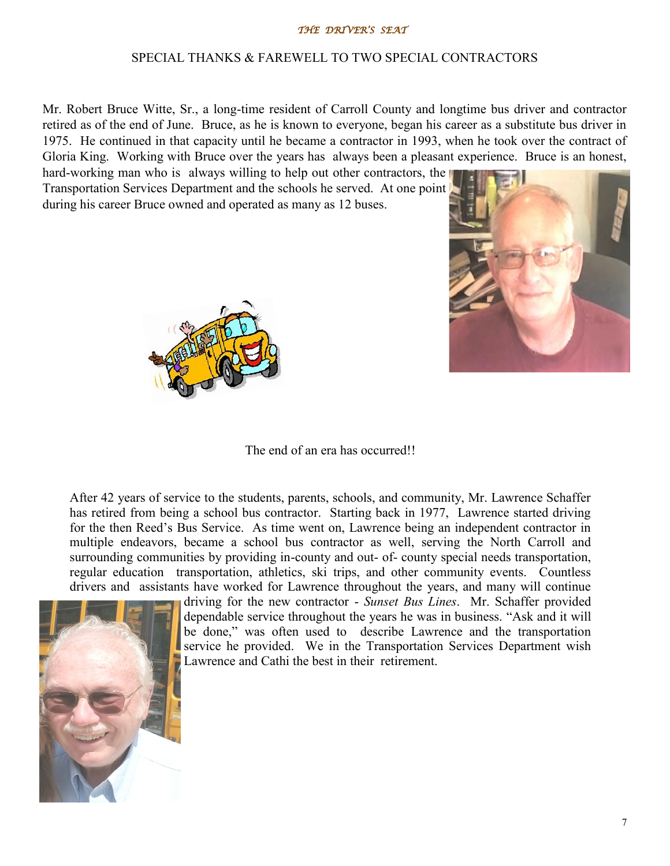#### *THE DRIVER'S SEAT*

#### SPECIAL THANKS & FAREWELL TO TWO SPECIAL CONTRACTORS

Mr. Robert Bruce Witte, Sr., a long-time resident of Carroll County and longtime bus driver and contractor retired as of the end of June. Bruce, as he is known to everyone, began his career as a substitute bus driver in 1975. He continued in that capacity until he became a contractor in 1993, when he took over the contract of Gloria King. Working with Bruce over the years has always been a pleasant experience. Bruce is an honest,

hard-working man who is always willing to help out other contractors, the Transportation Services Department and the schools he served. At one point during his career Bruce owned and operated as many as 12 buses.





The end of an era has occurred!!

After 42 years of service to the students, parents, schools, and community, Mr. Lawrence Schaffer has retired from being a school bus contractor. Starting back in 1977, Lawrence started driving for the then Reed's Bus Service. As time went on, Lawrence being an independent contractor in multiple endeavors, became a school bus contractor as well, serving the North Carroll and surrounding communities by providing in-county and out- of- county special needs transportation, regular education transportation, athletics, ski trips, and other community events. Countless drivers and assistants have worked for Lawrence throughout the years, and many will continue



driving for the new contractor - *Sunset Bus Lines*. Mr. Schaffer provided dependable service throughout the years he was in business. "Ask and it will be done," was often used to describe Lawrence and the transportation service he provided. We in the Transportation Services Department wish Lawrence and Cathi the best in their retirement.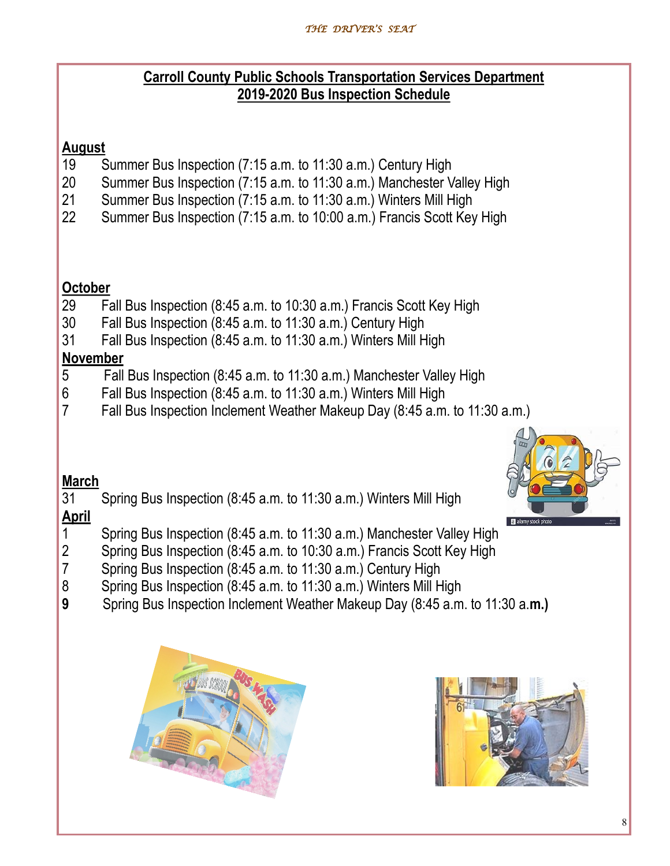### **Carroll County Public Schools Transportation Services Department 2019-2020 Bus Inspection Schedule**

### **August**

- 19 Summer Bus Inspection (7:15 a.m. to 11:30 a.m.) Century High
- 20 Summer Bus Inspection (7:15 a.m. to 11:30 a.m.) Manchester Valley High
- 21 Summer Bus Inspection (7:15 a.m. to 11:30 a.m.) Winters Mill High
- 22 Summer Bus Inspection (7:15 a.m. to 10:00 a.m.) Francis Scott Key High

### **October**

- 29 Fall Bus Inspection (8:45 a.m. to 10:30 a.m.) Francis Scott Key High
- 30 Fall Bus Inspection (8:45 a.m. to 11:30 a.m.) Century High
- 31 Fall Bus Inspection (8:45 a.m. to 11:30 a.m.) Winters Mill High

### **November**

- 5 Fall Bus Inspection (8:45 a.m. to 11:30 a.m.) Manchester Valley High
- 6 Fall Bus Inspection (8:45 a.m. to 11:30 a.m.) Winters Mill High
- 7 Fall Bus Inspection Inclement Weather Makeup Day (8:45 a.m. to 11:30 a.m.)



### **March**

31 Spring Bus Inspection (8:45 a.m. to 11:30 a.m.) Winters Mill High

## **April**

- 1 Spring Bus Inspection (8:45 a.m. to 11:30 a.m.) Manchester Valley High
- 2 Spring Bus Inspection (8:45 a.m. to 10:30 a.m.) Francis Scott Key High
- 7 Spring Bus Inspection (8:45 a.m. to 11:30 a.m.) Century High
- 8 Spring Bus Inspection (8:45 a.m. to 11:30 a.m.) Winters Mill High
- **9** Spring Bus Inspection Inclement Weather Makeup Day (8:45 a.m. to 11:30 a.**m.)**



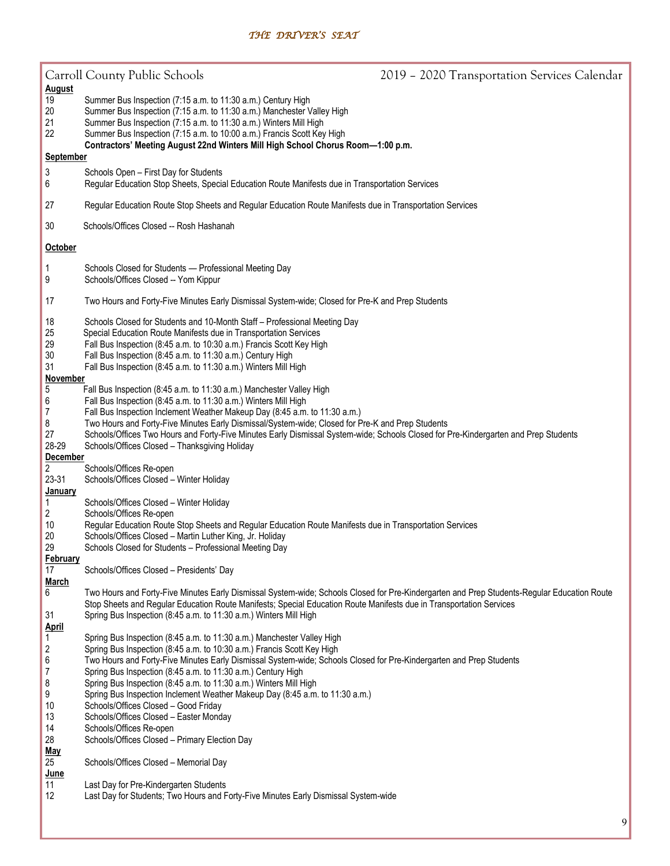|                                                                                                                                | Carroll County Public Schools                                                                                                                                                                                                                                                                                                                                                                                                                                                                                                                                                                                                                              | 2019 - 2020 Transportation Services Calendar |
|--------------------------------------------------------------------------------------------------------------------------------|------------------------------------------------------------------------------------------------------------------------------------------------------------------------------------------------------------------------------------------------------------------------------------------------------------------------------------------------------------------------------------------------------------------------------------------------------------------------------------------------------------------------------------------------------------------------------------------------------------------------------------------------------------|----------------------------------------------|
| <b>August</b><br>19<br>20<br>21<br>22                                                                                          | Summer Bus Inspection (7:15 a.m. to 11:30 a.m.) Century High<br>Summer Bus Inspection (7:15 a.m. to 11:30 a.m.) Manchester Valley High<br>Summer Bus Inspection (7:15 a.m. to 11:30 a.m.) Winters Mill High<br>Summer Bus Inspection (7:15 a.m. to 10:00 a.m.) Francis Scott Key High                                                                                                                                                                                                                                                                                                                                                                      |                                              |
| Contractors' Meeting August 22nd Winters Mill High School Chorus Room-1:00 p.m.<br>September                                   |                                                                                                                                                                                                                                                                                                                                                                                                                                                                                                                                                                                                                                                            |                                              |
| 3<br>6                                                                                                                         | Schools Open - First Day for Students<br>Regular Education Stop Sheets, Special Education Route Manifests due in Transportation Services                                                                                                                                                                                                                                                                                                                                                                                                                                                                                                                   |                                              |
| 27                                                                                                                             | Regular Education Route Stop Sheets and Regular Education Route Manifests due in Transportation Services                                                                                                                                                                                                                                                                                                                                                                                                                                                                                                                                                   |                                              |
| 30                                                                                                                             | Schools/Offices Closed -- Rosh Hashanah                                                                                                                                                                                                                                                                                                                                                                                                                                                                                                                                                                                                                    |                                              |
| <b>October</b>                                                                                                                 |                                                                                                                                                                                                                                                                                                                                                                                                                                                                                                                                                                                                                                                            |                                              |
| 1<br>9                                                                                                                         | Schools Closed for Students - Professional Meeting Day<br>Schools/Offices Closed -- Yom Kippur                                                                                                                                                                                                                                                                                                                                                                                                                                                                                                                                                             |                                              |
| 17                                                                                                                             | Two Hours and Forty-Five Minutes Early Dismissal System-wide; Closed for Pre-K and Prep Students                                                                                                                                                                                                                                                                                                                                                                                                                                                                                                                                                           |                                              |
| 18<br>25<br>29<br>30<br>31<br><b>November</b>                                                                                  | Schools Closed for Students and 10-Month Staff - Professional Meeting Day<br>Special Education Route Manifests due in Transportation Services<br>Fall Bus Inspection (8:45 a.m. to 10:30 a.m.) Francis Scott Key High<br>Fall Bus Inspection (8:45 a.m. to 11:30 a.m.) Century High<br>Fall Bus Inspection (8:45 a.m. to 11:30 a.m.) Winters Mill High                                                                                                                                                                                                                                                                                                     |                                              |
| 5<br>6<br>$\boldsymbol{7}$<br>8<br>27<br>28-29<br><b>December</b>                                                              | Fall Bus Inspection (8:45 a.m. to 11:30 a.m.) Manchester Valley High<br>Fall Bus Inspection (8:45 a.m. to 11:30 a.m.) Winters Mill High<br>Fall Bus Inspection Inclement Weather Makeup Day (8:45 a.m. to 11:30 a.m.)<br>Two Hours and Forty-Five Minutes Early Dismissal/System-wide; Closed for Pre-K and Prep Students<br>Schools/Offices Two Hours and Forty-Five Minutes Early Dismissal System-wide; Schools Closed for Pre-Kindergarten and Prep Students<br>Schools/Offices Closed - Thanksgiving Holiday                                                                                                                                          |                                              |
| $\overline{c}$                                                                                                                 | Schools/Offices Re-open                                                                                                                                                                                                                                                                                                                                                                                                                                                                                                                                                                                                                                    |                                              |
| 23-31<br><b>January</b>                                                                                                        | Schools/Offices Closed - Winter Holiday                                                                                                                                                                                                                                                                                                                                                                                                                                                                                                                                                                                                                    |                                              |
| $\mathbf{1}$<br>2                                                                                                              | Schools/Offices Closed - Winter Holiday<br>Schools/Offices Re-open                                                                                                                                                                                                                                                                                                                                                                                                                                                                                                                                                                                         |                                              |
| 10<br>20<br>29                                                                                                                 | Regular Education Route Stop Sheets and Regular Education Route Manifests due in Transportation Services<br>Schools/Offices Closed - Martin Luther King, Jr. Holiday<br>Schools Closed for Students - Professional Meeting Day                                                                                                                                                                                                                                                                                                                                                                                                                             |                                              |
| February                                                                                                                       |                                                                                                                                                                                                                                                                                                                                                                                                                                                                                                                                                                                                                                                            |                                              |
| 17<br><b>March</b>                                                                                                             | Schools/Offices Closed - Presidents' Day                                                                                                                                                                                                                                                                                                                                                                                                                                                                                                                                                                                                                   |                                              |
| 6<br>31                                                                                                                        | Two Hours and Forty-Five Minutes Early Dismissal System-wide; Schools Closed for Pre-Kindergarten and Prep Students-Regular Education Route<br>Stop Sheets and Regular Education Route Manifests; Special Education Route Manifests due in Transportation Services<br>Spring Bus Inspection (8:45 a.m. to 11:30 a.m.) Winters Mill High                                                                                                                                                                                                                                                                                                                    |                                              |
| <b>April</b><br>$\mathbf{1}$<br>$\overline{\mathbf{c}}$<br>6<br>$\overline{7}$<br>8<br>9<br>10<br>13<br>14<br>28<br><u>May</u> | Spring Bus Inspection (8:45 a.m. to 11:30 a.m.) Manchester Valley High<br>Spring Bus Inspection (8:45 a.m. to 10:30 a.m.) Francis Scott Key High<br>Two Hours and Forty-Five Minutes Early Dismissal System-wide; Schools Closed for Pre-Kindergarten and Prep Students<br>Spring Bus Inspection (8:45 a.m. to 11:30 a.m.) Century High<br>Spring Bus Inspection (8:45 a.m. to 11:30 a.m.) Winters Mill High<br>Spring Bus Inspection Inclement Weather Makeup Day (8:45 a.m. to 11:30 a.m.)<br>Schools/Offices Closed - Good Friday<br>Schools/Offices Closed - Easter Monday<br>Schools/Offices Re-open<br>Schools/Offices Closed - Primary Election Day |                                              |
| 25<br><u>June</u>                                                                                                              | Schools/Offices Closed - Memorial Day                                                                                                                                                                                                                                                                                                                                                                                                                                                                                                                                                                                                                      |                                              |
| 11<br>12                                                                                                                       | Last Day for Pre-Kindergarten Students<br>Last Day for Students; Two Hours and Forty-Five Minutes Early Dismissal System-wide                                                                                                                                                                                                                                                                                                                                                                                                                                                                                                                              |                                              |